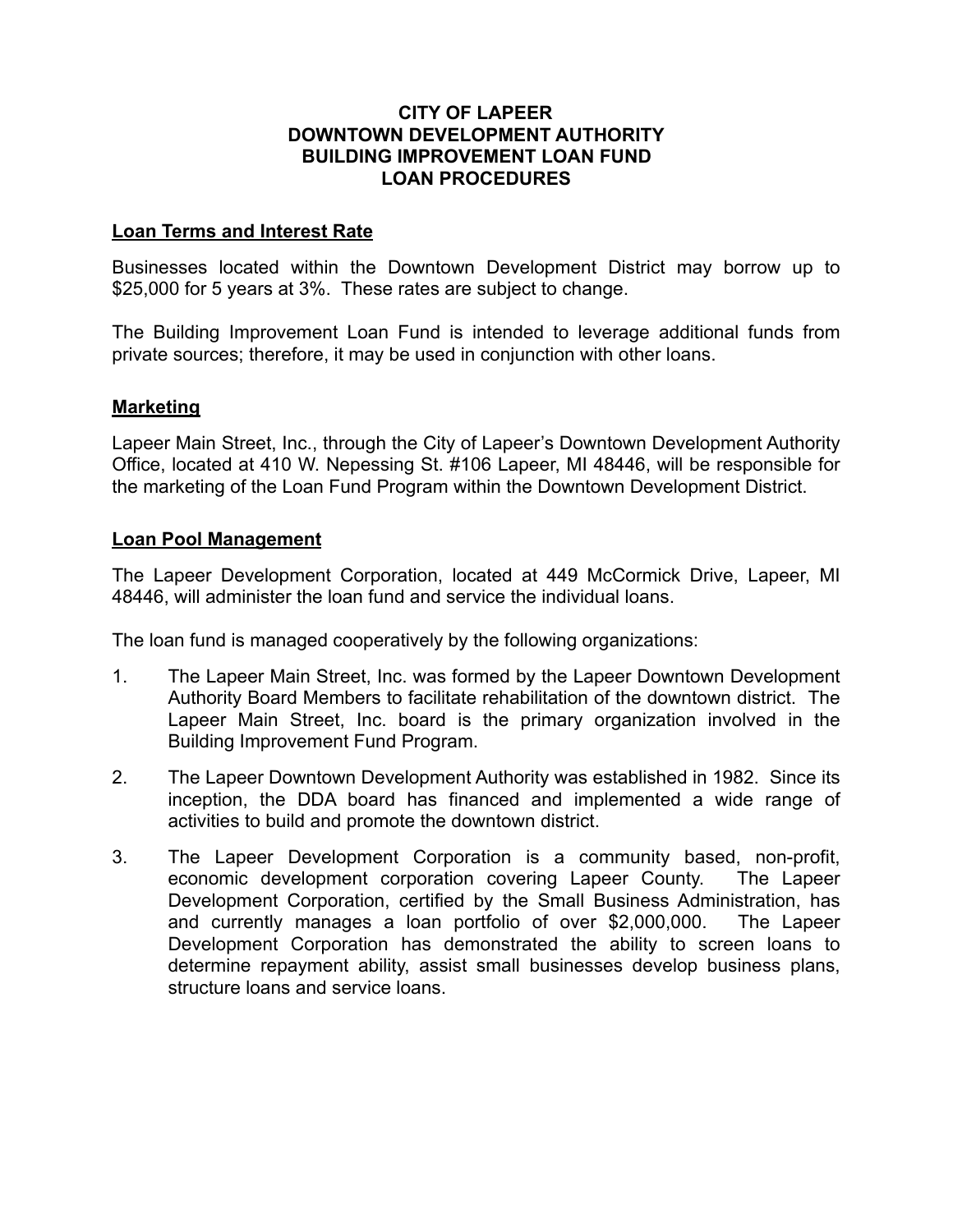### **CITY OF LAPEER DOWNTOWN DEVELOPMENT AUTHORITY BUILDING IMPROVEMENT LOAN FUND LOAN PROCEDURES**

### **Loan Terms and Interest Rate**

Businesses located within the Downtown Development District may borrow up to \$25,000 for 5 years at 3%. These rates are subject to change.

The Building Improvement Loan Fund is intended to leverage additional funds from private sources; therefore, it may be used in conjunction with other loans.

### **Marketing**

Lapeer Main Street, Inc., through the City of Lapeer's Downtown Development Authority Office, located at 410 W. Nepessing St. #106 Lapeer, MI 48446, will be responsible for the marketing of the Loan Fund Program within the Downtown Development District.

### **Loan Pool Management**

The Lapeer Development Corporation, located at 449 McCormick Drive, Lapeer, MI 48446, will administer the loan fund and service the individual loans.

The loan fund is managed cooperatively by the following organizations:

- 1. The Lapeer Main Street, Inc. was formed by the Lapeer Downtown Development Authority Board Members to facilitate rehabilitation of the downtown district. The Lapeer Main Street, Inc. board is the primary organization involved in the Building Improvement Fund Program.
- 2. The Lapeer Downtown Development Authority was established in 1982. Since its inception, the DDA board has financed and implemented a wide range of activities to build and promote the downtown district.
- 3. The Lapeer Development Corporation is a community based, non-profit, economic development corporation covering Lapeer County. The Lapeer Development Corporation, certified by the Small Business Administration, has and currently manages a loan portfolio of over \$2,000,000. The Lapeer Development Corporation has demonstrated the ability to screen loans to determine repayment ability, assist small businesses develop business plans, structure loans and service loans.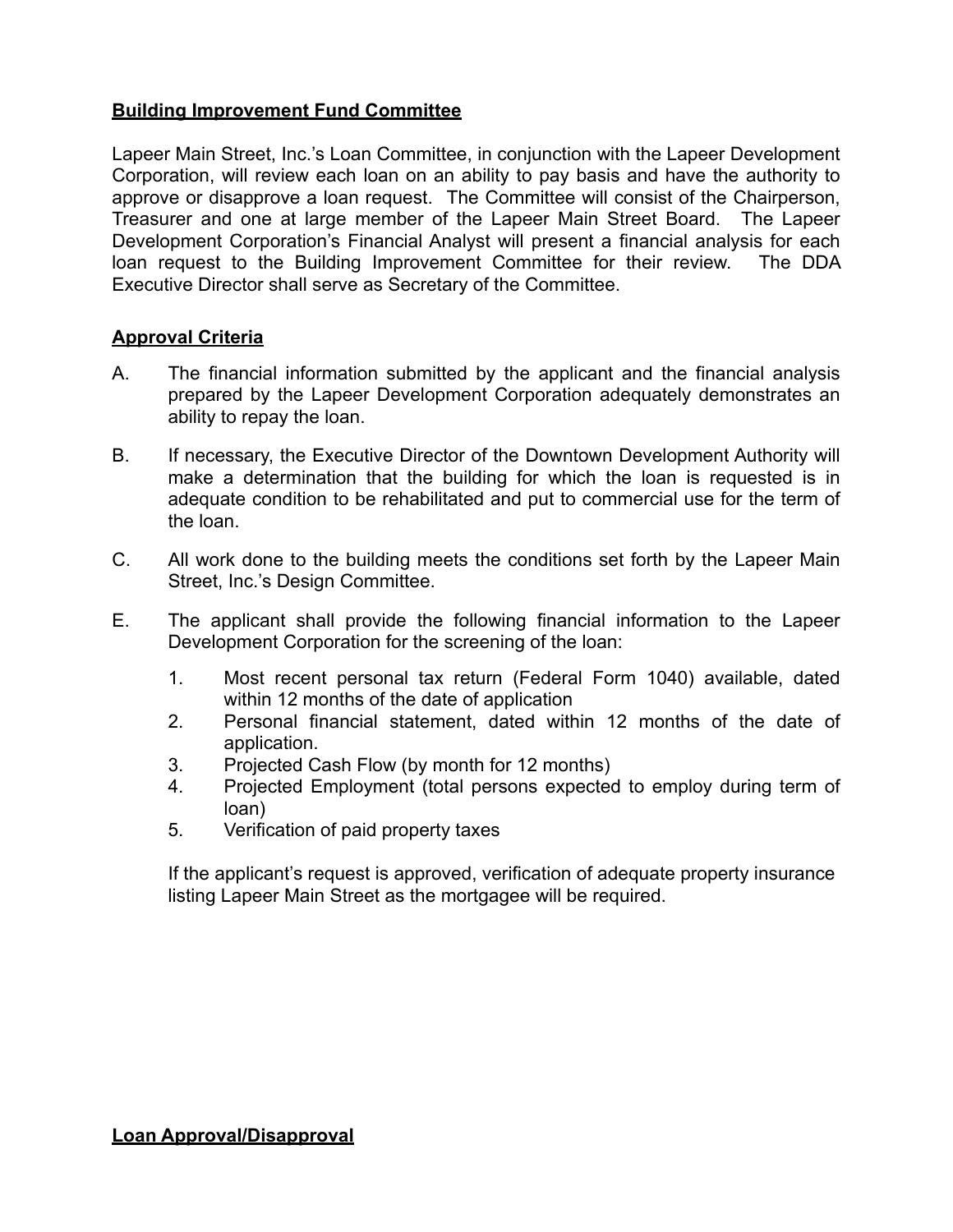## **Building Improvement Fund Committee**

Lapeer Main Street, Inc.'s Loan Committee, in conjunction with the Lapeer Development Corporation, will review each loan on an ability to pay basis and have the authority to approve or disapprove a loan request. The Committee will consist of the Chairperson, Treasurer and one at large member of the Lapeer Main Street Board. The Lapeer Development Corporation's Financial Analyst will present a financial analysis for each loan request to the Building Improvement Committee for their review. The DDA Executive Director shall serve as Secretary of the Committee.

### **Approval Criteria**

- A. The financial information submitted by the applicant and the financial analysis prepared by the Lapeer Development Corporation adequately demonstrates an ability to repay the loan.
- B. If necessary, the Executive Director of the Downtown Development Authority will make a determination that the building for which the loan is requested is in adequate condition to be rehabilitated and put to commercial use for the term of the loan.
- C. All work done to the building meets the conditions set forth by the Lapeer Main Street, Inc.'s Design Committee.
- E. The applicant shall provide the following financial information to the Lapeer Development Corporation for the screening of the loan:
	- 1. Most recent personal tax return (Federal Form 1040) available, dated within 12 months of the date of application
	- 2. Personal financial statement, dated within 12 months of the date of application.
	- 3. Projected Cash Flow (by month for 12 months)
	- 4. Projected Employment (total persons expected to employ during term of loan)
	- 5. Verification of paid property taxes

If the applicant's request is approved, verification of adequate property insurance listing Lapeer Main Street as the mortgagee will be required.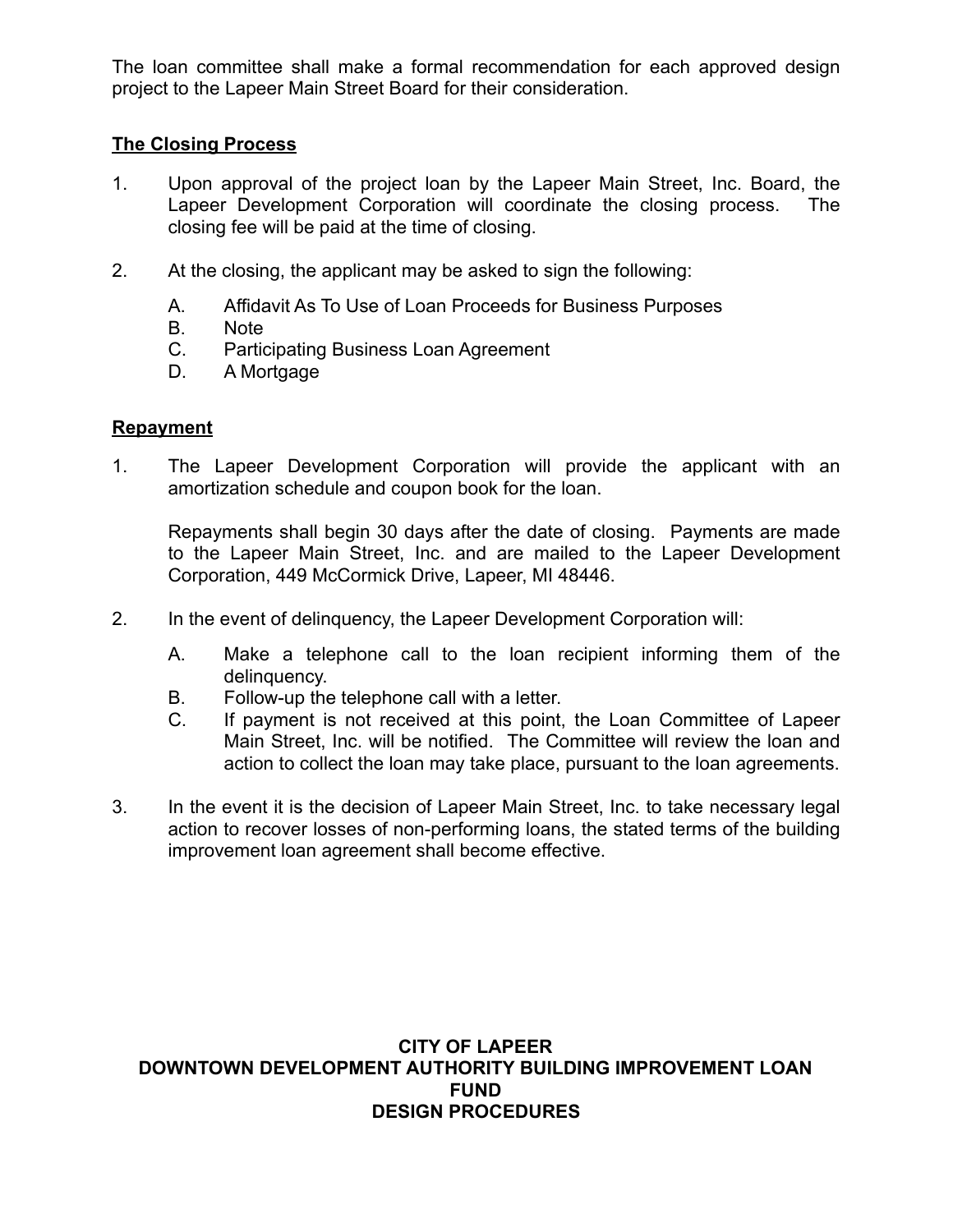The loan committee shall make a formal recommendation for each approved design project to the Lapeer Main Street Board for their consideration.

## **The Closing Process**

- 1. Upon approval of the project loan by the Lapeer Main Street, Inc. Board, the Lapeer Development Corporation will coordinate the closing process. The closing fee will be paid at the time of closing.
- 2. At the closing, the applicant may be asked to sign the following:
	- A. Affidavit As To Use of Loan Proceeds for Business Purposes
	- B. Note
	- C. Participating Business Loan Agreement
	- D. A Mortgage

### **Repayment**

1. The Lapeer Development Corporation will provide the applicant with an amortization schedule and coupon book for the loan.

Repayments shall begin 30 days after the date of closing. Payments are made to the Lapeer Main Street, Inc. and are mailed to the Lapeer Development Corporation, 449 McCormick Drive, Lapeer, MI 48446.

- 2. In the event of delinquency, the Lapeer Development Corporation will:
	- A. Make a telephone call to the loan recipient informing them of the delinquency.
	- B. Follow-up the telephone call with a letter.
	- C. If payment is not received at this point, the Loan Committee of Lapeer Main Street, Inc. will be notified. The Committee will review the loan and action to collect the loan may take place, pursuant to the loan agreements.
- 3. In the event it is the decision of Lapeer Main Street, Inc. to take necessary legal action to recover losses of non-performing loans, the stated terms of the building improvement loan agreement shall become effective.

#### **CITY OF LAPEER DOWNTOWN DEVELOPMENT AUTHORITY BUILDING IMPROVEMENT LOAN FUND DESIGN PROCEDURES**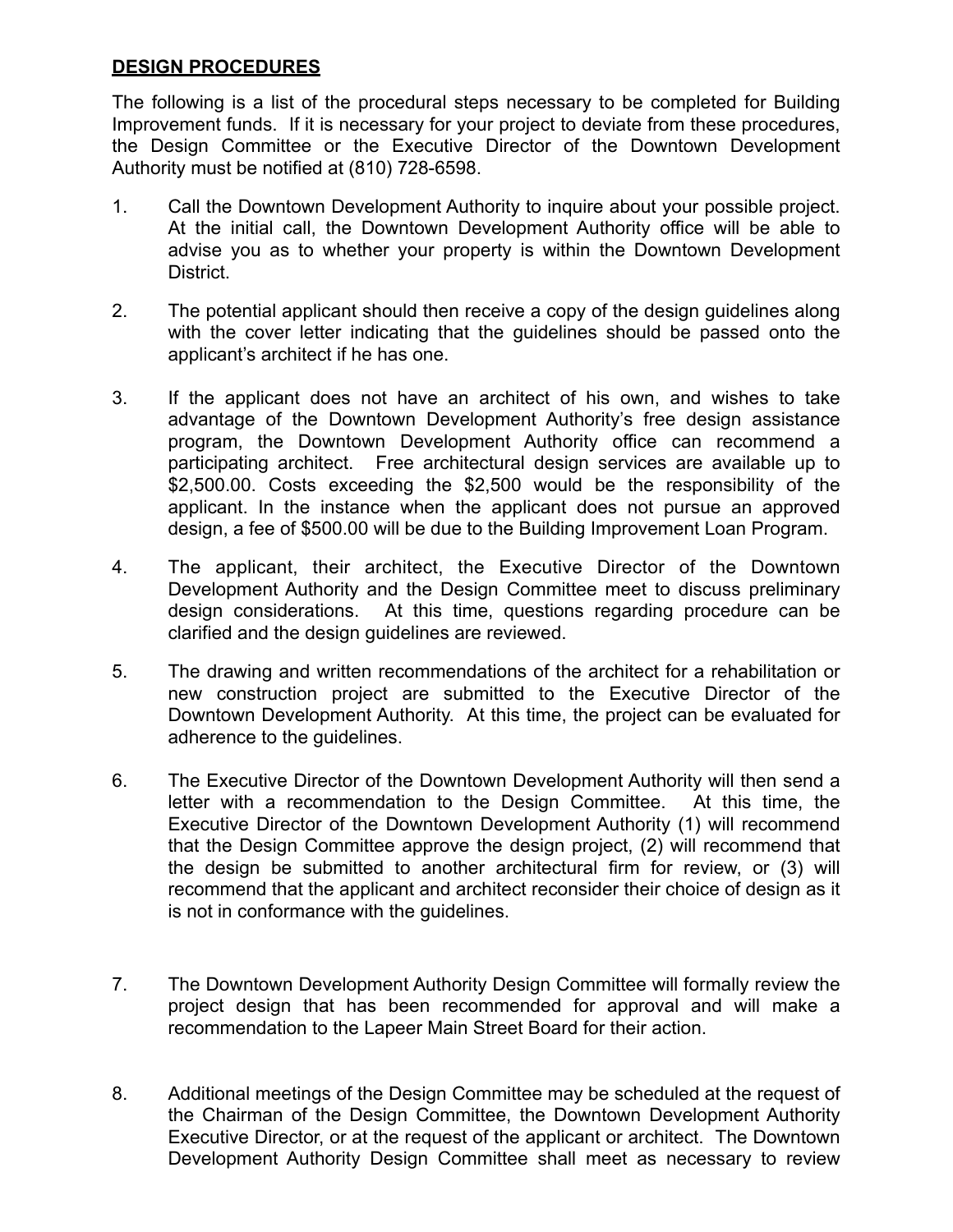## **DESIGN PROCEDURES**

The following is a list of the procedural steps necessary to be completed for Building Improvement funds. If it is necessary for your project to deviate from these procedures, the Design Committee or the Executive Director of the Downtown Development Authority must be notified at (810) 728-6598.

- 1. Call the Downtown Development Authority to inquire about your possible project. At the initial call, the Downtown Development Authority office will be able to advise you as to whether your property is within the Downtown Development District.
- 2. The potential applicant should then receive a copy of the design guidelines along with the cover letter indicating that the guidelines should be passed onto the applicant's architect if he has one.
- 3. If the applicant does not have an architect of his own, and wishes to take advantage of the Downtown Development Authority's free design assistance program, the Downtown Development Authority office can recommend a participating architect. Free architectural design services are available up to \$2,500.00. Costs exceeding the \$2,500 would be the responsibility of the applicant. In the instance when the applicant does not pursue an approved design, a fee of \$500.00 will be due to the Building Improvement Loan Program.
- 4. The applicant, their architect, the Executive Director of the Downtown Development Authority and the Design Committee meet to discuss preliminary design considerations. At this time, questions regarding procedure can be clarified and the design guidelines are reviewed.
- 5. The drawing and written recommendations of the architect for a rehabilitation or new construction project are submitted to the Executive Director of the Downtown Development Authority. At this time, the project can be evaluated for adherence to the guidelines.
- 6. The Executive Director of the Downtown Development Authority will then send a letter with a recommendation to the Design Committee. At this time, the Executive Director of the Downtown Development Authority (1) will recommend that the Design Committee approve the design project, (2) will recommend that the design be submitted to another architectural firm for review, or (3) will recommend that the applicant and architect reconsider their choice of design as it is not in conformance with the guidelines.
- 7. The Downtown Development Authority Design Committee will formally review the project design that has been recommended for approval and will make a recommendation to the Lapeer Main Street Board for their action.
- 8. Additional meetings of the Design Committee may be scheduled at the request of the Chairman of the Design Committee, the Downtown Development Authority Executive Director, or at the request of the applicant or architect. The Downtown Development Authority Design Committee shall meet as necessary to review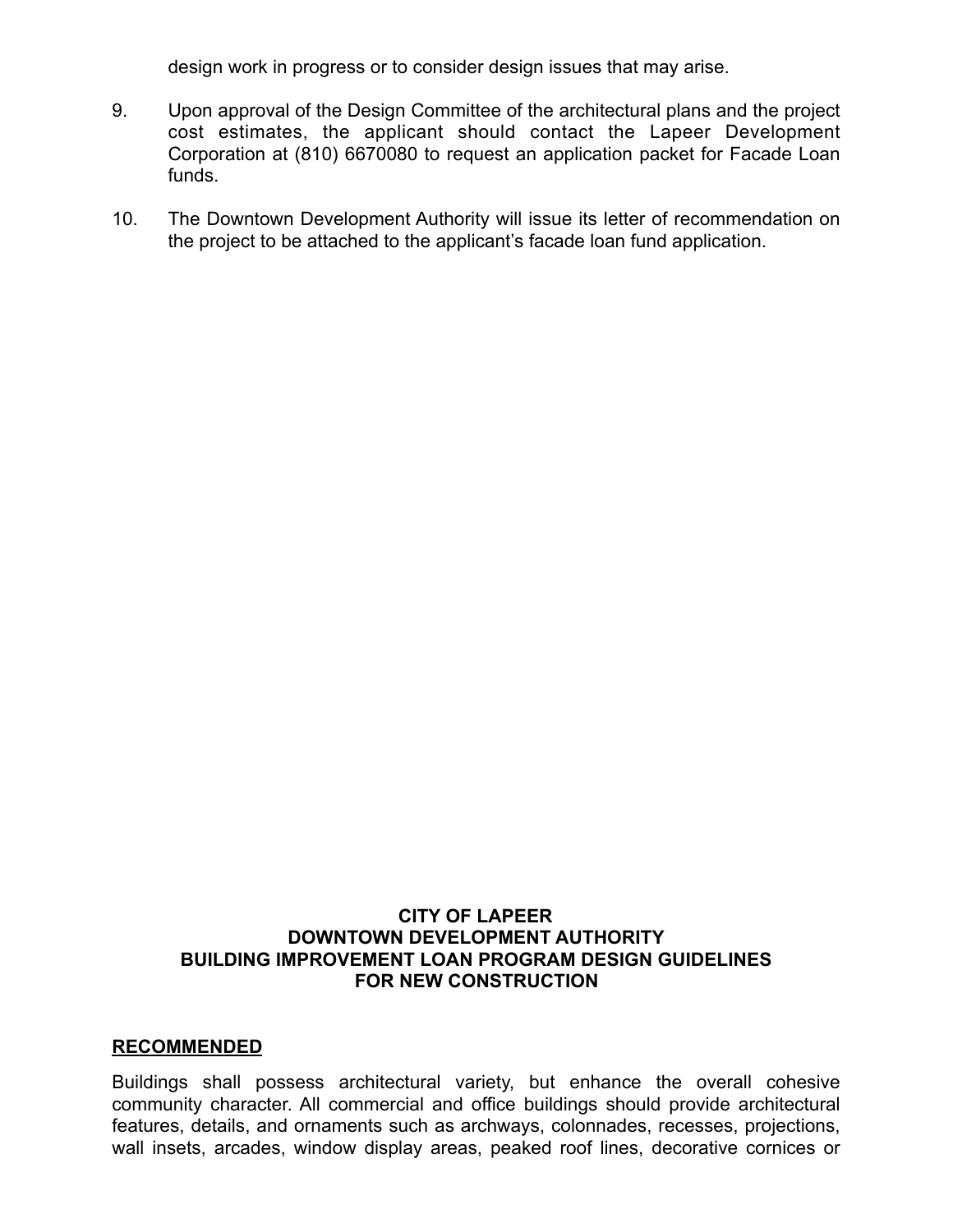design work in progress or to consider design issues that may arise.

- 9. Upon approval of the Design Committee of the architectural plans and the project cost estimates, the applicant should contact the Lapeer Development Corporation at (810) 6670080 to request an application packet for Facade Loan funds.
- 10. The Downtown Development Authority will issue its letter of recommendation on the project to be attached to the applicant's facade loan fund application.

### **CITY OF LAPEER DOWNTOWN DEVELOPMENT AUTHORITY BUILDING IMPROVEMENT LOAN PROGRAM DESIGN GUIDELINES FOR NEW CONSTRUCTION**

#### **RECOMMENDED**

Buildings shall possess architectural variety, but enhance the overall cohesive community character. All commercial and office buildings should provide architectural features, details, and ornaments such as archways, colonnades, recesses, projections, wall insets, arcades, window display areas, peaked roof lines, decorative cornices or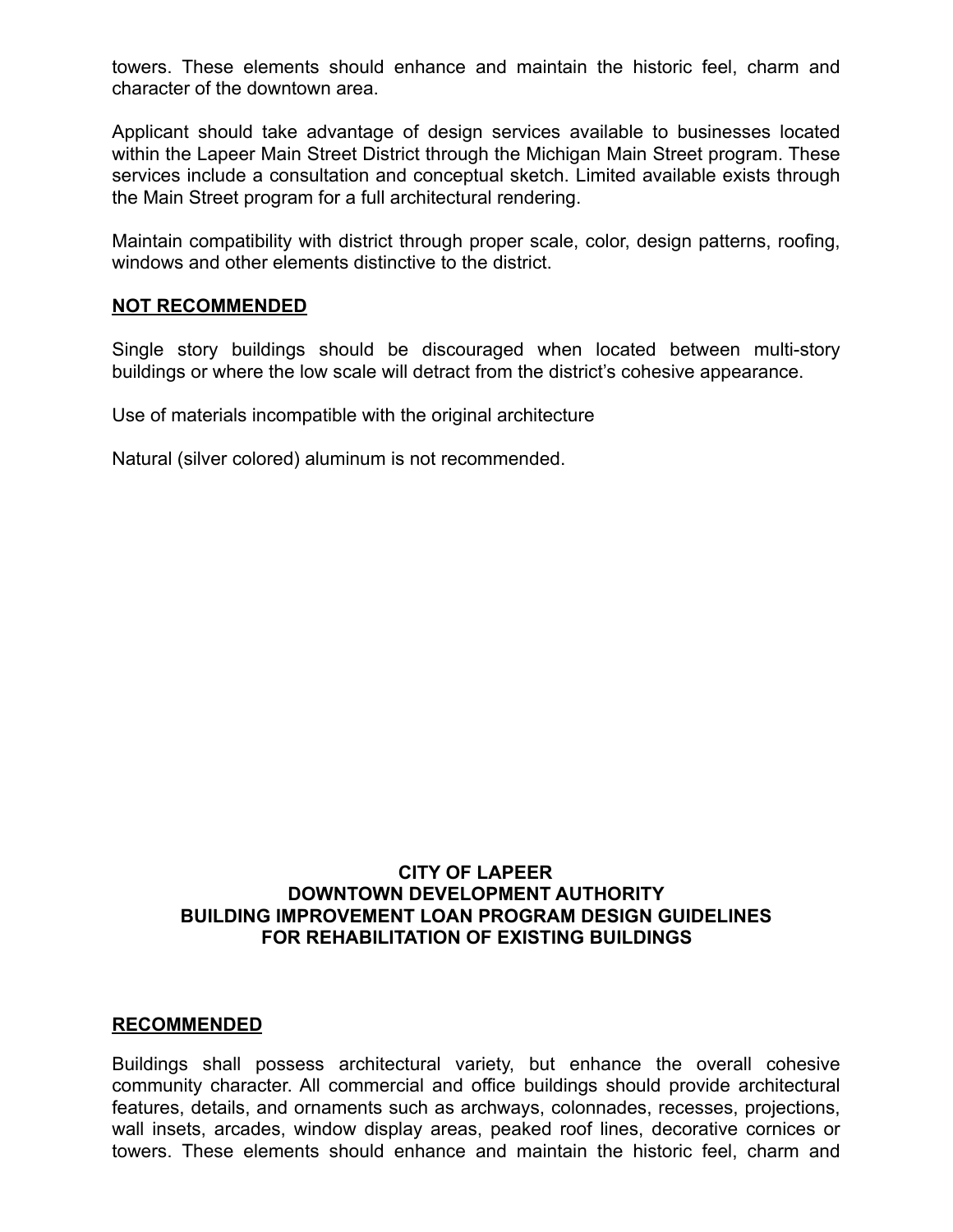towers. These elements should enhance and maintain the historic feel, charm and character of the downtown area.

Applicant should take advantage of design services available to businesses located within the Lapeer Main Street District through the Michigan Main Street program. These services include a consultation and conceptual sketch. Limited available exists through the Main Street program for a full architectural rendering.

Maintain compatibility with district through proper scale, color, design patterns, roofing, windows and other elements distinctive to the district.

#### **NOT RECOMMENDED**

Single story buildings should be discouraged when located between multi-story buildings or where the low scale will detract from the district's cohesive appearance.

Use of materials incompatible with the original architecture

Natural (silver colored) aluminum is not recommended.

## **CITY OF LAPEER DOWNTOWN DEVELOPMENT AUTHORITY BUILDING IMPROVEMENT LOAN PROGRAM DESIGN GUIDELINES FOR REHABILITATION OF EXISTING BUILDINGS**

### **RECOMMENDED**

Buildings shall possess architectural variety, but enhance the overall cohesive community character. All commercial and office buildings should provide architectural features, details, and ornaments such as archways, colonnades, recesses, projections, wall insets, arcades, window display areas, peaked roof lines, decorative cornices or towers. These elements should enhance and maintain the historic feel, charm and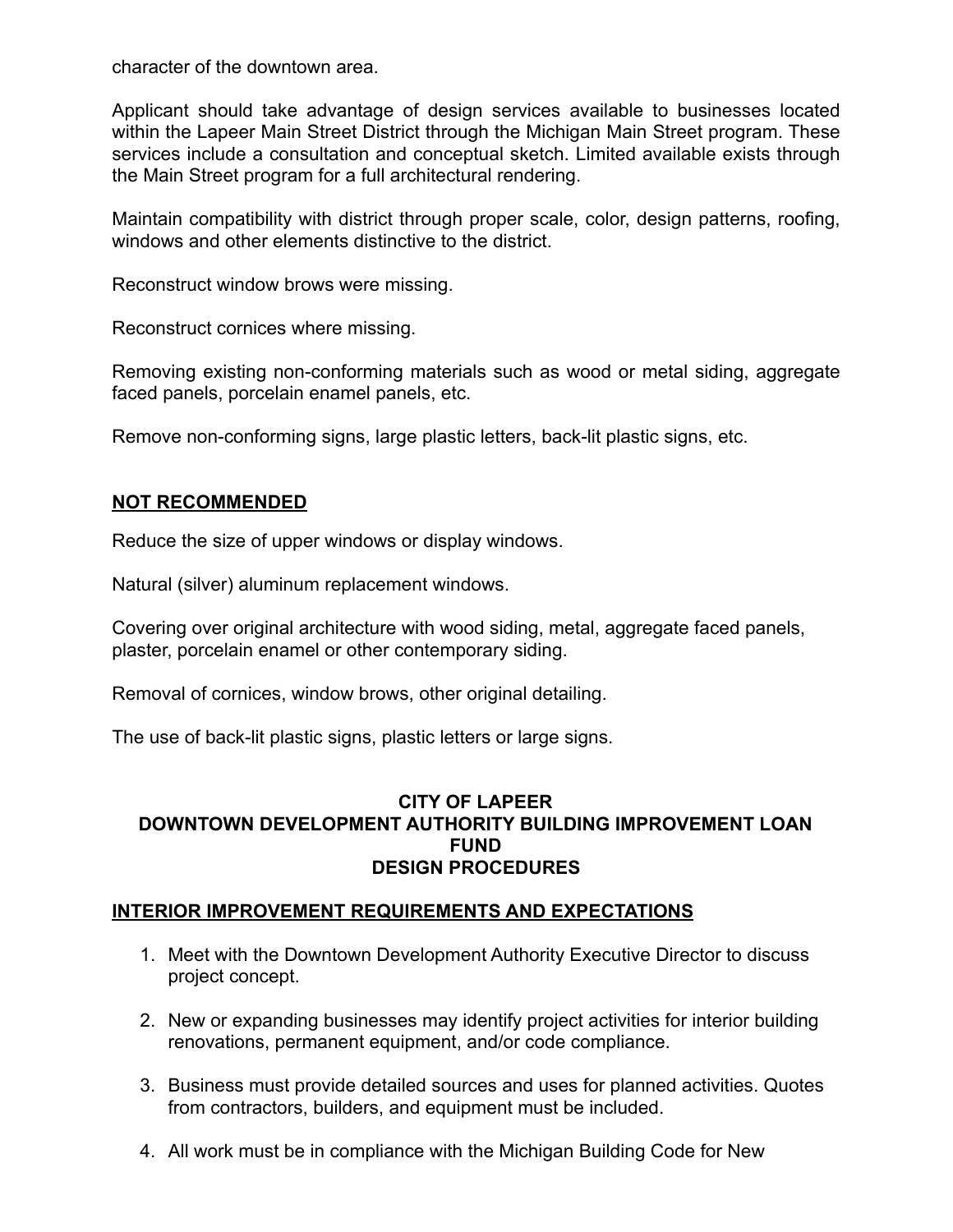character of the downtown area.

Applicant should take advantage of design services available to businesses located within the Lapeer Main Street District through the Michigan Main Street program. These services include a consultation and conceptual sketch. Limited available exists through the Main Street program for a full architectural rendering.

Maintain compatibility with district through proper scale, color, design patterns, roofing, windows and other elements distinctive to the district.

Reconstruct window brows were missing.

Reconstruct cornices where missing.

Removing existing non-conforming materials such as wood or metal siding, aggregate faced panels, porcelain enamel panels, etc.

Remove non-conforming signs, large plastic letters, back-lit plastic signs, etc.

#### **NOT RECOMMENDED**

Reduce the size of upper windows or display windows.

Natural (silver) aluminum replacement windows.

Covering over original architecture with wood siding, metal, aggregate faced panels, plaster, porcelain enamel or other contemporary siding.

Removal of cornices, window brows, other original detailing.

The use of back-lit plastic signs, plastic letters or large signs.

### **CITY OF LAPEER DOWNTOWN DEVELOPMENT AUTHORITY BUILDING IMPROVEMENT LOAN FUND DESIGN PROCEDURES**

### **INTERIOR IMPROVEMENT REQUIREMENTS AND EXPECTATIONS**

- 1. Meet with the Downtown Development Authority Executive Director to discuss project concept.
- 2. New or expanding businesses may identify project activities for interior building renovations, permanent equipment, and/or code compliance.
- 3. Business must provide detailed sources and uses for planned activities. Quotes from contractors, builders, and equipment must be included.
- 4. All work must be in compliance with the Michigan Building Code for New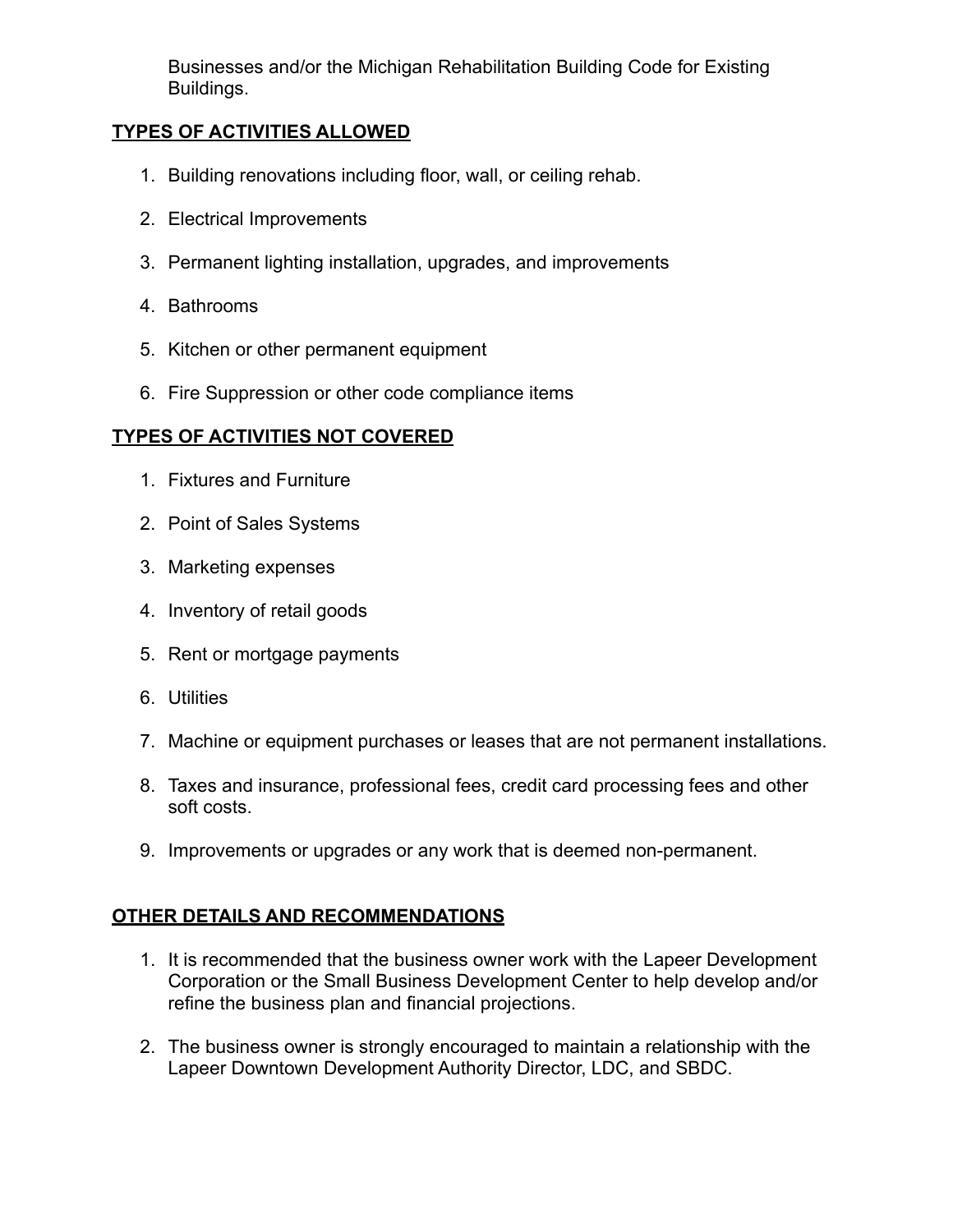Businesses and/or the Michigan Rehabilitation Building Code for Existing Buildings.

## **TYPES OF ACTIVITIES ALLOWED**

- 1. Building renovations including floor, wall, or ceiling rehab.
- 2. Electrical Improvements
- 3. Permanent lighting installation, upgrades, and improvements
- 4. Bathrooms
- 5. Kitchen or other permanent equipment
- 6. Fire Suppression or other code compliance items

## **TYPES OF ACTIVITIES NOT COVERED**

- 1. Fixtures and Furniture
- 2. Point of Sales Systems
- 3. Marketing expenses
- 4. Inventory of retail goods
- 5. Rent or mortgage payments
- 6. Utilities
- 7. Machine or equipment purchases or leases that are not permanent installations.
- 8. Taxes and insurance, professional fees, credit card processing fees and other soft costs.
- 9. Improvements or upgrades or any work that is deemed non-permanent.

# **OTHER DETAILS AND RECOMMENDATIONS**

- 1. It is recommended that the business owner work with the Lapeer Development Corporation or the Small Business Development Center to help develop and/or refine the business plan and financial projections.
- 2. The business owner is strongly encouraged to maintain a relationship with the Lapeer Downtown Development Authority Director, LDC, and SBDC.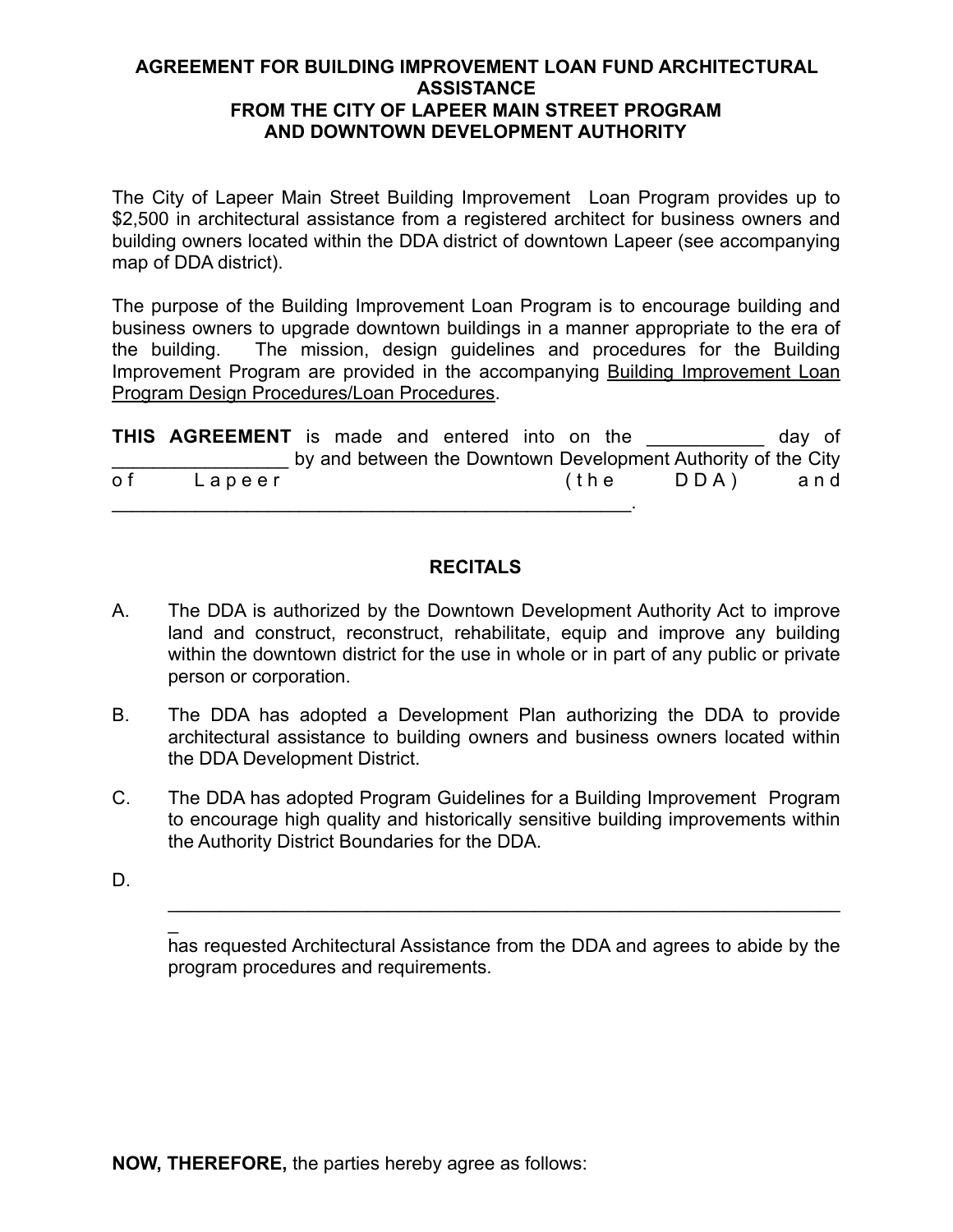### **AGREEMENT FOR BUILDING IMPROVEMENT LOAN FUND ARCHITECTURAL ASSISTANCE FROM THE CITY OF LAPEER MAIN STREET PROGRAM AND DOWNTOWN DEVELOPMENT AUTHORITY**

The City of Lapeer Main Street Building Improvement Loan Program provides up to \$2,500 in architectural assistance from a registered architect for business owners and building owners located within the DDA district of downtown Lapeer (see accompanying map of DDA district).

The purpose of the Building Improvement Loan Program is to encourage building and business owners to upgrade downtown buildings in a manner appropriate to the era of the building. The mission, design guidelines and procedures for the Building Improvement Program are provided in the accompanying Building Improvement Loan Program Design Procedures/Loan Procedures.

|     | THIS AGREEMENT is made and entered into on the |  |  |              |                                                               | day of |  |
|-----|------------------------------------------------|--|--|--------------|---------------------------------------------------------------|--------|--|
|     |                                                |  |  |              | by and between the Downtown Development Authority of the City |        |  |
| o f | Lapeer                                         |  |  | the <i>t</i> | DDA)                                                          | and    |  |
|     |                                                |  |  |              |                                                               |        |  |

### **RECITALS**

- A. The DDA is authorized by the Downtown Development Authority Act to improve land and construct, reconstruct, rehabilitate, equip and improve any building within the downtown district for the use in whole or in part of any public or private person or corporation.
- B. The DDA has adopted a Development Plan authorizing the DDA to provide architectural assistance to building owners and business owners located within the DDA Development District.
- C. The DDA has adopted Program Guidelines for a Building Improvement Program to encourage high quality and historically sensitive building improvements within the Authority District Boundaries for the DDA.
- D.

 $\overline{\phantom{a}}$ 

has requested Architectural Assistance from the DDA and agrees to abide by the program procedures and requirements.

 $\mathcal{L}_\text{max}$  and  $\mathcal{L}_\text{max}$  and  $\mathcal{L}_\text{max}$  and  $\mathcal{L}_\text{max}$  and  $\mathcal{L}_\text{max}$  and  $\mathcal{L}_\text{max}$